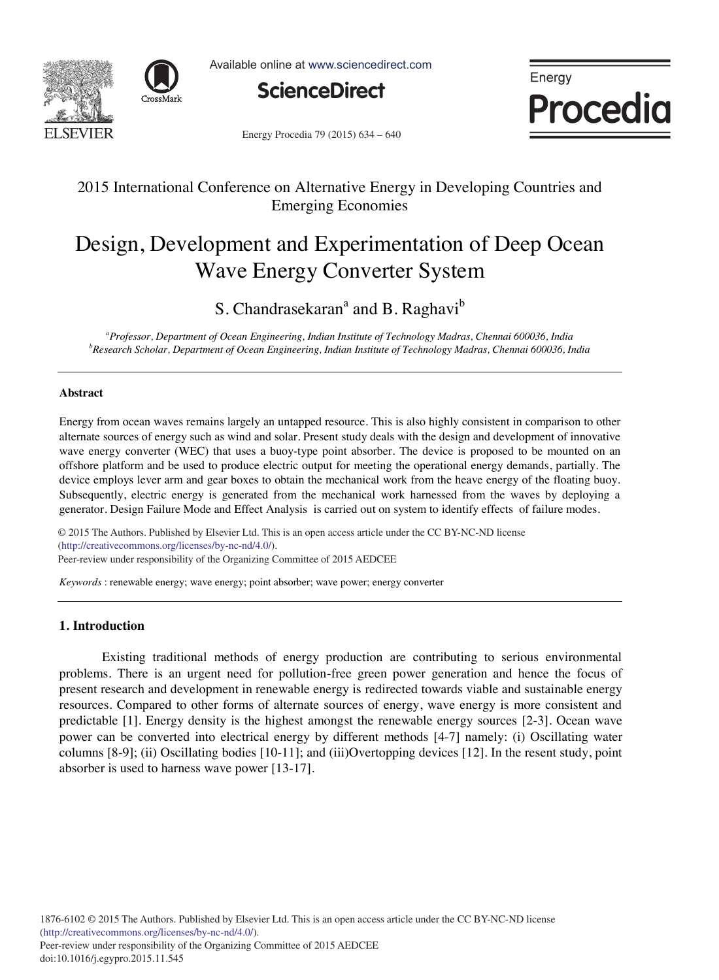



Available online at www.sciencedirect.com



Energy Procedia

Energy Procedia 79 (2015) 634 - 640

## 2015 International Conference on Alternative Energy in Developing Countries and Emerging Economies

# Design, Development and Experimentation of Deep Ocean Wave Energy Converter System

S. Chandrasekaran<sup>a</sup> and B. Raghavi<sup>b</sup>

<sup>a</sup>Professor, Department of Ocean Engineering, Indian Institute of Technology Madras, Chennai 600036, India b<sup>b</sup><br><sup>b</sup>Pessarch Scholar, Department of Ocean Engineering, Indian Institute of Technology Madras, Chennai 600036, *Research Scholar, Department of Ocean Engineering, Indian Institute of Technology Madras, Chennai 600036, India*

## **Abstract**

Energy from ocean waves remains largely an untapped resource. This is also highly consistent in comparison to other alternate sources of energy such as wind and solar. Present study deals with the design and development of innovative wave energy converter (WEC) that uses a buoy-type point absorber. The device is proposed to be mounted on an offshore platform and be used to produce electric output for meeting the operational energy demands, partially. The device employs lever arm and gear boxes to obtain the mechanical work from the heave energy of the floating buoy. Subsequently, electric energy is generated from the mechanical work harnessed from the waves by deploying a generator. Design Failure Mode and Effect Analysis is carried out on system to identify effects of failure modes.

© 2015 The Authors. Published by Elsevier Ltd. (http://creativecommons.org/licenses/by-nc-nd/4.0/). Peer-review under responsibility of the Organizing Committee of 2015 AEDCEE. Peer-review under responsibility of the Organizing Committee of 2015 AEDCEE© 2015 The Authors. Published by Elsevier Ltd. This is an open access article under the CC BY-NC-ND license

*Keywords* : renewable energy; wave energy; point absorber; wave power; energy converter

## **1. Introduction**

 Existing traditional methods of energy production are contributing to serious environmental problems. There is an urgent need for pollution-free green power generation and hence the focus of present research and development in renewable energy is redirected towards viable and sustainable energy resources. Compared to other forms of alternate sources of energy, wave energy is more consistent and predictable [1]. Energy density is the highest amongst the renewable energy sources [2-3]. Ocean wave power can be converted into electrical energy by different methods [4-7] namely: (i) Oscillating water columns [8-9]; (ii) Oscillating bodies [10-11]; and (iii)Overtopping devices [12]. In the resent study, point absorber is used to harness wave power [13-17].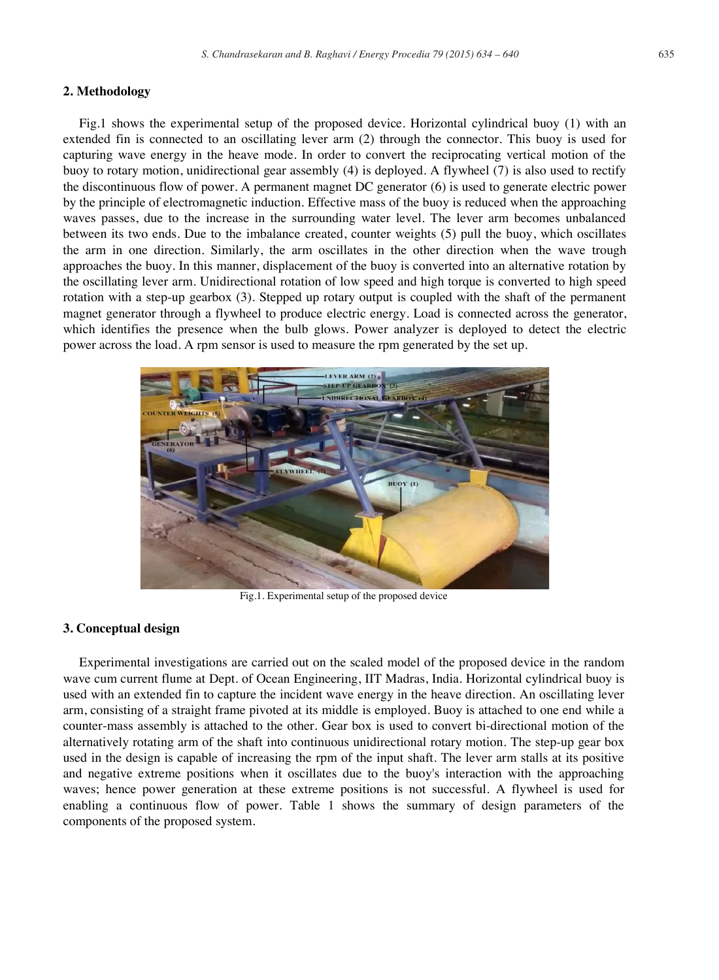## **2. Methodology**

Fig.1 shows the experimental setup of the proposed device. Horizontal cylindrical buoy (1) with an extended fin is connected to an oscillating lever arm (2) through the connector. This buoy is used for capturing wave energy in the heave mode. In order to convert the reciprocating vertical motion of the buoy to rotary motion, unidirectional gear assembly (4) is deployed. A flywheel (7) is also used to rectify the discontinuous flow of power. A permanent magnet DC generator (6) is used to generate electric power by the principle of electromagnetic induction. Effective mass of the buoy is reduced when the approaching waves passes, due to the increase in the surrounding water level. The lever arm becomes unbalanced between its two ends. Due to the imbalance created, counter weights (5) pull the buoy, which oscillates the arm in one direction. Similarly, the arm oscillates in the other direction when the wave trough approaches the buoy. In this manner, displacement of the buoy is converted into an alternative rotation by the oscillating lever arm. Unidirectional rotation of low speed and high torque is converted to high speed rotation with a step-up gearbox (3). Stepped up rotary output is coupled with the shaft of the permanent magnet generator through a flywheel to produce electric energy. Load is connected across the generator, which identifies the presence when the bulb glows. Power analyzer is deployed to detect the electric power across the load. A rpm sensor is used to measure the rpm generated by the set up.



Fig.1. Experimental setup of the proposed device

## **3. Conceptual design**

Experimental investigations are carried out on the scaled model of the proposed device in the random wave cum current flume at Dept. of Ocean Engineering, IIT Madras, India. Horizontal cylindrical buoy is used with an extended fin to capture the incident wave energy in the heave direction. An oscillating lever arm, consisting of a straight frame pivoted at its middle is employed. Buoy is attached to one end while a counter-mass assembly is attached to the other. Gear box is used to convert bi-directional motion of the alternatively rotating arm of the shaft into continuous unidirectional rotary motion. The step-up gear box used in the design is capable of increasing the rpm of the input shaft. The lever arm stalls at its positive and negative extreme positions when it oscillates due to the buoy's interaction with the approaching waves; hence power generation at these extreme positions is not successful. A flywheel is used for enabling a continuous flow of power. Table 1 shows the summary of design parameters of the components of the proposed system.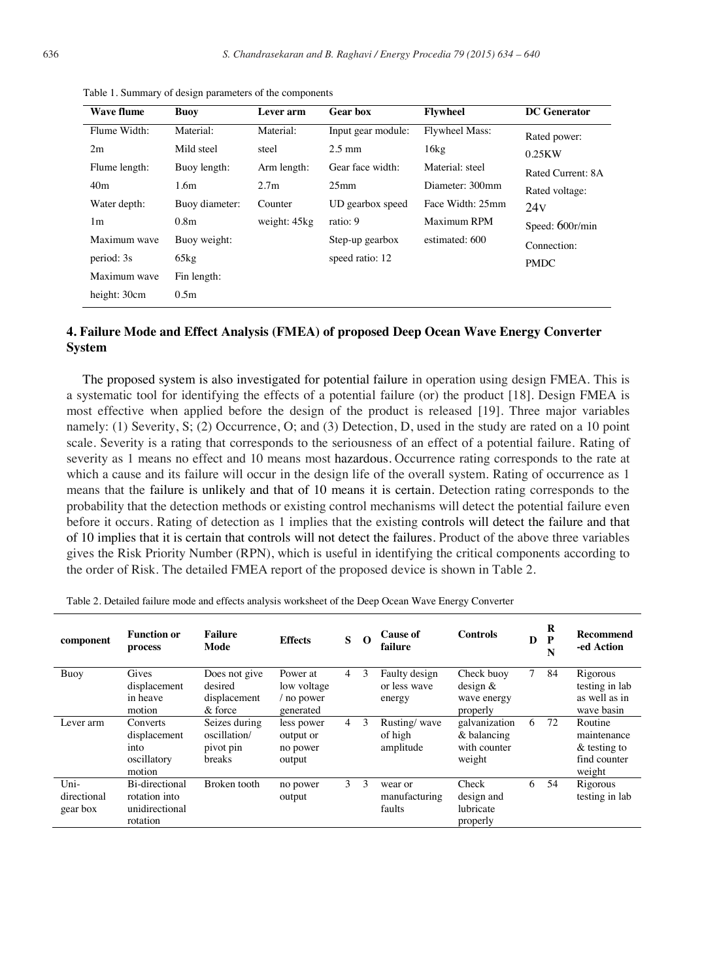| <b>Wave flume</b> | <b>Buoy</b>      | Lever arm        | <b>Gear box</b>    | <b>Flywheel</b>       | <b>DC</b> Generator |
|-------------------|------------------|------------------|--------------------|-----------------------|---------------------|
| Flume Width:      | Material:        | Material:        | Input gear module: | <b>Flywheel Mass:</b> | Rated power:        |
| 2m                | Mild steel       | steel            | $2.5 \text{ mm}$   | 16kg                  | 0.25KW              |
| Flume length:     | Buoy length:     | Arm length:      | Gear face width:   | Material: steel       | Rated Current: 8A   |
| 40 <sub>m</sub>   | 1.6 <sub>m</sub> | 2.7 <sub>m</sub> | 25 <sub>mm</sub>   | Diameter: 300mm       | Rated voltage:      |
| Water depth:      | Buoy diameter:   | Counter          | UD gearbox speed   | Face Width: 25mm      | 24v                 |
| 1 <sub>m</sub>    | 0.8 <sub>m</sub> | weight: 45kg     | ratio: 9           | Maximum RPM           | Speed: 600r/min     |
| Maximum wave      | Buoy weight:     |                  | Step-up gearbox    | estimated: 600        | Connection:         |
| period: 3s        | 65kg             |                  | speed ratio: 12    |                       | <b>PMDC</b>         |
| Maximum wave      | Fin length:      |                  |                    |                       |                     |
| height: 30cm      | 0.5 <sub>m</sub> |                  |                    |                       |                     |

Table 1. Summary of design parameters of the components

## **4. Failure Mode and Effect Analysis (FMEA) of proposed Deep Ocean Wave Energy Converter System**

The proposed system is also investigated for potential failure in operation using design FMEA. This is a systematic tool for identifying the effects of a potential failure (or) the product [18]. Design FMEA is most effective when applied before the design of the product is released [19]. Three major variables namely: (1) Severity, S; (2) Occurrence, O; and (3) Detection, D, used in the study are rated on a 10 point scale. Severity is a rating that corresponds to the seriousness of an effect of a potential failure. Rating of severity as 1 means no effect and 10 means most hazardous. Occurrence rating corresponds to the rate at which a cause and its failure will occur in the design life of the overall system. Rating of occurrence as 1 means that the failure is unlikely and that of 10 means it is certain. Detection rating corresponds to the probability that the detection methods or existing control mechanisms will detect the potential failure even before it occurs. Rating of detection as 1 implies that the existing controls will detect the failure and that of 10 implies that it is certain that controls will not detect the failures. Product of the above three variables gives the Risk Priority Number (RPN), which is useful in identifying the critical components according to the order of Risk. The detailed FMEA report of the proposed device is shown in Table 2.

| component                       | <b>Function or</b><br>process                                 | <b>Failure</b><br>Mode                               | <b>Effects</b>                                     | S              | $\Omega$      | <b>Cause of</b><br>failure              | <b>Controls</b>                                        | D      | R<br>P<br>N | Recommend<br>-ed Action                                             |
|---------------------------------|---------------------------------------------------------------|------------------------------------------------------|----------------------------------------------------|----------------|---------------|-----------------------------------------|--------------------------------------------------------|--------|-------------|---------------------------------------------------------------------|
| Buoy                            | Gives<br>displacement<br>in heave<br>motion                   | Does not give<br>desired<br>displacement<br>& force  | Power at<br>low voltage<br>/ no power<br>generated | 4              | 3             | Faulty design<br>or less wave<br>energy | Check buoy<br>design $&$<br>wave energy<br>properly    | $\tau$ | 84          | Rigorous<br>testing in lab<br>as well as in<br>wave basin           |
| Lever arm                       | Converts<br>displacement<br>into<br>oscillatory<br>motion     | Seizes during<br>oscillation/<br>pivot pin<br>breaks | less power<br>output or<br>no power<br>output      | $\overline{4}$ | 3             | Rusting/wave<br>of high<br>amplitude    | galvanization<br>& balancing<br>with counter<br>weight | 6      | 72          | Routine<br>maintenance<br>$\&$ testing to<br>find counter<br>weight |
| Uni-<br>directional<br>gear box | Bi-directional<br>rotation into<br>unidirectional<br>rotation | Broken tooth                                         | no power<br>output                                 | 3              | $\mathcal{E}$ | wear or<br>manufacturing<br>faults      | Check<br>design and<br>lubricate<br>properly           | 6      | 54          | Rigorous<br>testing in lab                                          |

Table 2. Detailed failure mode and effects analysis worksheet of the Deep Ocean Wave Energy Converter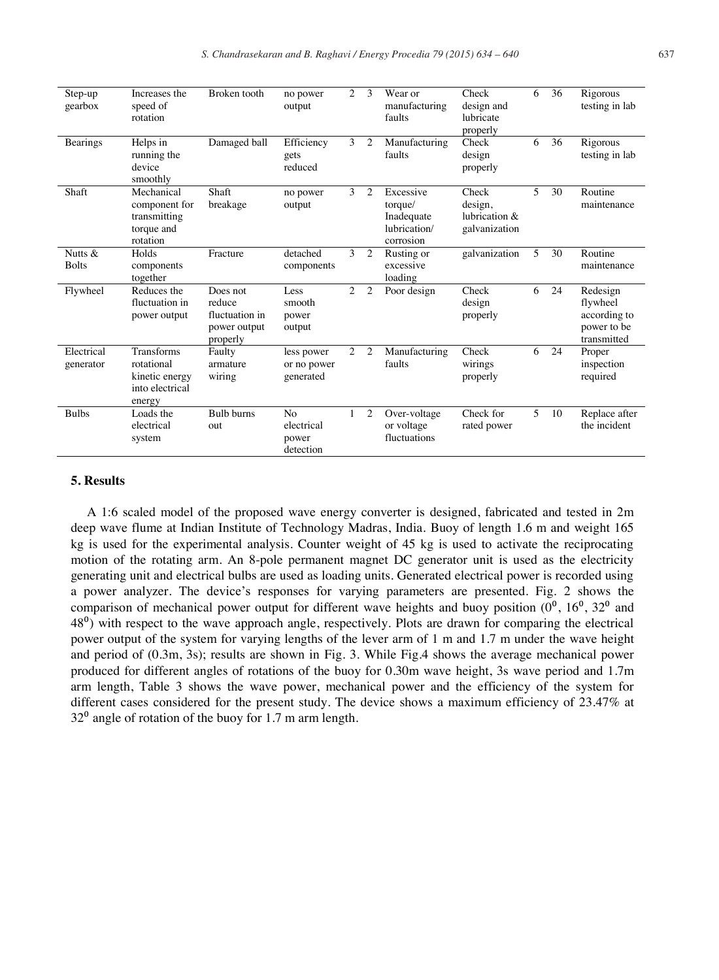| Step-up<br>gearbox      | Increases the<br>speed of<br>rotation                                          | Broken tooth                                                     | no power<br>output                                 | 2              | $\mathcal{E}$  | Wear or<br>manufacturing<br>faults                              | Check<br>design and<br>lubricate<br>properly       | 6              | 36 | Rigorous<br>testing in lab                                         |
|-------------------------|--------------------------------------------------------------------------------|------------------------------------------------------------------|----------------------------------------------------|----------------|----------------|-----------------------------------------------------------------|----------------------------------------------------|----------------|----|--------------------------------------------------------------------|
| <b>Bearings</b>         | Helps in<br>running the<br>device<br>smoothly                                  | Damaged ball                                                     | Efficiency<br>gets<br>reduced                      | 3              | 2              | Manufacturing<br>faults                                         | Check<br>design<br>properly                        | 6              | 36 | Rigorous<br>testing in lab                                         |
| Shaft                   | Mechanical<br>component for<br>transmitting<br>torque and<br>rotation          | Shaft<br>breakage                                                | no power<br>output                                 | 3              | 2              | Excessive<br>torque/<br>Inadequate<br>lubrication/<br>corrosion | Check<br>design,<br>lubrication &<br>galvanization | $\overline{5}$ | 30 | Routine<br>maintenance                                             |
| Nutts &<br><b>Bolts</b> | Holds<br>components<br>together                                                | Fracture                                                         | detached<br>components                             | 3              | $\overline{2}$ | Rusting or<br>excessive<br>loading                              | galvanization                                      | 5              | 30 | Routine<br>maintenance                                             |
| Flywheel                | Reduces the<br>fluctuation in<br>power output                                  | Does not<br>reduce<br>fluctuation in<br>power output<br>properly | Less<br>smooth<br>power<br>output                  | $\mathfrak{2}$ | 2              | Poor design                                                     | Check<br>design<br>properly                        | 6              | 24 | Redesign<br>flywheel<br>according to<br>power to be<br>transmitted |
| Electrical<br>generator | <b>Transforms</b><br>rotational<br>kinetic energy<br>into electrical<br>energy | Faulty<br>armature<br>wiring                                     | less power<br>or no power<br>generated             | 2              | 2              | Manufacturing<br>faults                                         | Check<br>wirings<br>properly                       | 6              | 24 | Proper<br>inspection<br>required                                   |
| <b>Bulbs</b>            | Loads the<br>electrical<br>system                                              | <b>Bulb</b> burns<br>out                                         | N <sub>o</sub><br>electrical<br>power<br>detection | $\mathbf{1}$   | 2              | Over-voltage<br>or voltage<br>fluctuations                      | Check for<br>rated power                           | $\overline{5}$ | 10 | Replace after<br>the incident                                      |

### **5. Results**

A 1:6 scaled model of the proposed wave energy converter is designed, fabricated and tested in 2m deep wave flume at Indian Institute of Technology Madras, India. Buoy of length 1.6 m and weight 165 kg is used for the experimental analysis. Counter weight of 45 kg is used to activate the reciprocating motion of the rotating arm. An 8-pole permanent magnet DC generator unit is used as the electricity generating unit and electrical bulbs are used as loading units. Generated electrical power is recorded using a power analyzer. The device's responses for varying parameters are presented. Fig. 2 shows the comparison of mechanical power output for different wave heights and buoy position  $(0^0, 16^0, 32^0, 32^0)$ 48<sup>0</sup>) with respect to the wave approach angle, respectively. Plots are drawn for comparing the electrical power output of the system for varying lengths of the lever arm of 1 m and 1.7 m under the wave height and period of (0.3m, 3s); results are shown in Fig. 3. While Fig.4 shows the average mechanical power produced for different angles of rotations of the buoy for 0.30m wave height, 3s wave period and 1.7m arm length, Table 3 shows the wave power, mechanical power and the efficiency of the system for different cases considered for the present study. The device shows a maximum efficiency of 23.47% at  $32<sup>0</sup>$  angle of rotation of the buoy for 1.7 m arm length.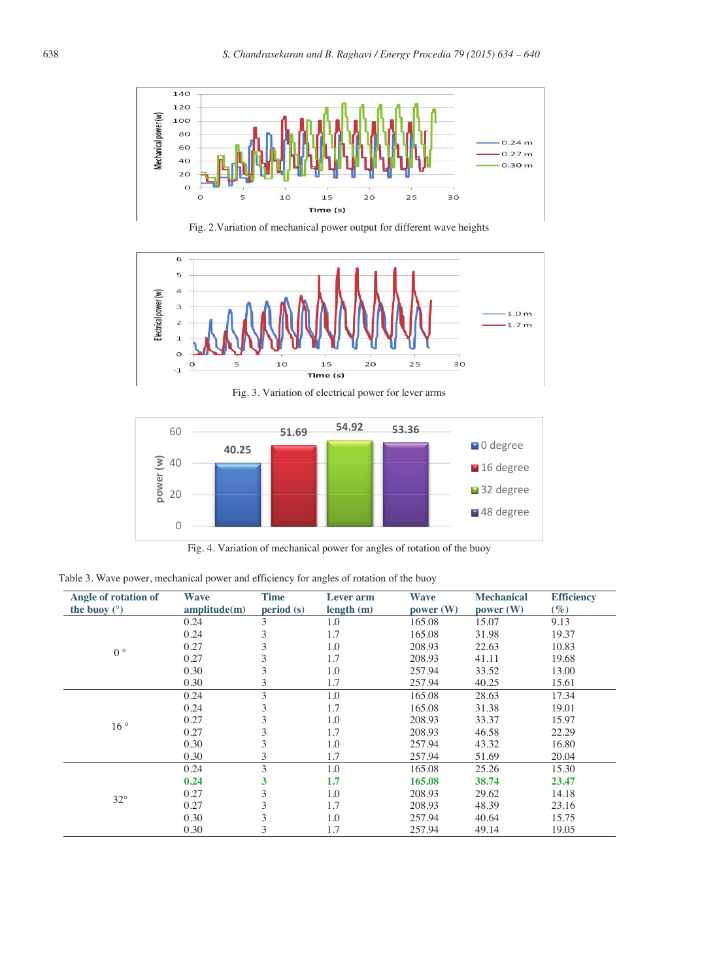

Fig. 2.Variation of mechanical power output for different wave heights





Fig. 4. Variation of mechanical power for angles of rotation of the buoy

| Table 3. Wave power, mechanical power and efficiency for angles of rotation of the buoy |  |  |  |
|-----------------------------------------------------------------------------------------|--|--|--|
|                                                                                         |  |  |  |

| Angle of rotation of | Wave         | <b>Time</b> | <b>Lever</b> arm | <b>Wave</b> | <b>Mechanical</b>                                                      | <b>Efficiency</b> |
|----------------------|--------------|-------------|------------------|-------------|------------------------------------------------------------------------|-------------------|
| the buoy $(°)$       | amplitude(m) | period(s)   | length(m)        | power (W)   | power (W)                                                              | $(\%)$            |
|                      | 0.24         | 3           | 1.0              | 165.08      | 15.07                                                                  | 9.13              |
|                      | 0.24         | 3           | 1.7              | 165.08      | 31.98                                                                  | 19.37             |
| $0^{\circ}$          | 0.27         | 3           | 1.0              | 208.93      | 22.63                                                                  | 10.83             |
|                      | 0.27         | 3           | 1.7              | 208.93      | 41.11                                                                  | 19.68             |
|                      | 0.30         | 3           | 1.0              | 257.94      | 33.52                                                                  | 13.00             |
|                      | 0.30         | 3           | 1.7              | 257.94      | 40.25                                                                  | 15.61             |
|                      | 0.24         | 3           | 1.0              | 165.08      | 28.63                                                                  | 17.34             |
|                      | 0.24         | 3           | 1.7              | 165.08      | 31.38                                                                  | 19.01             |
| 16°                  | 0.27         | 3           | 1.0              | 208.93      | 33.37                                                                  | 15.97             |
|                      | 0.27         | 3           | 1.7              | 208.93      | 46.58                                                                  | 22.29             |
|                      | 0.30         | 3           | 1.0              | 257.94      | 43.32                                                                  | 16.80             |
|                      | 0.30         | 3           | 1.7              | 257.94      | 20.04<br>51.69<br>165.08<br>25.26<br>15.30<br>165.08<br>38.74<br>23.47 |                   |
|                      | 0.24         | 3           | 1.0              |             |                                                                        |                   |
|                      | 0.24         | 3           | 1.7              |             |                                                                        |                   |
|                      | 0.27         | 3           | 1.0              | 208.93      | 29.62                                                                  | 14.18             |
| $32^{\circ}$         | 0.27         | 3           | 1.7              | 208.93      | 48.39                                                                  | 23.16             |
|                      | 0.30         | 3           | 1.0              | 257.94      | 40.64                                                                  | 15.75             |
|                      | 0.30         | 3           | 1.7              | 257.94      | 49.14                                                                  | 19.05             |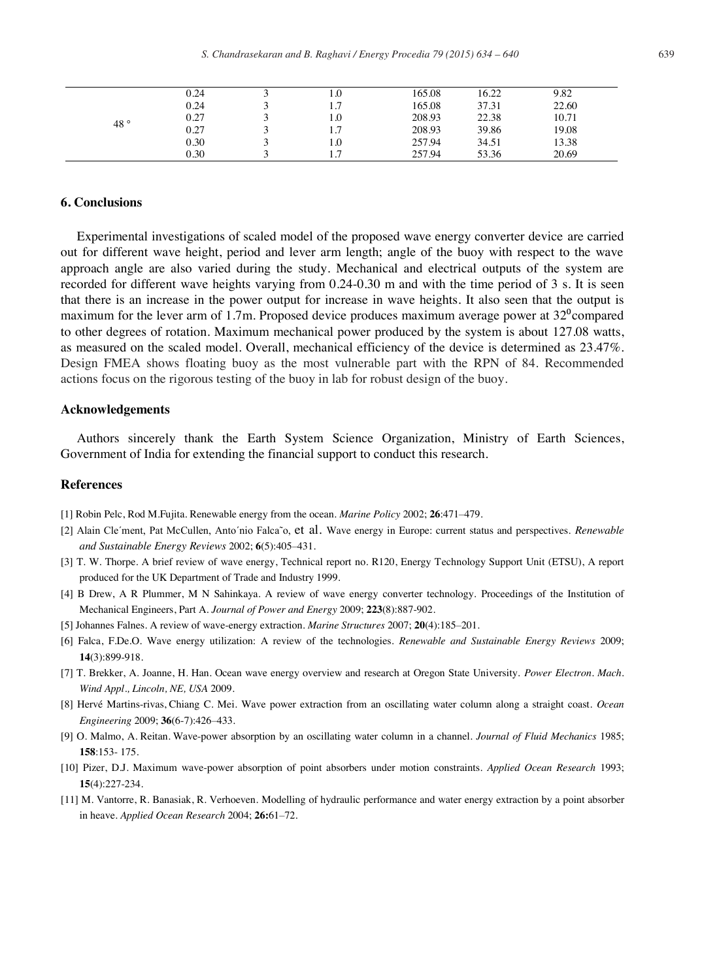| 0.24 | $1.0\,$ | 165.08 | 16.22 | 9.82  |  |
|------|---------|--------|-------|-------|--|
| 0.24 | 1.7     | 165.08 | 37.31 | 22.60 |  |
| 0.27 | 0.1     | 208.93 | 22.38 | 10.71 |  |
| 0.27 | 1.1     | 208.93 | 39.86 | 19.08 |  |
| 0.30 | 0.1     | 257.94 | 34.51 | 13.38 |  |
| 0.30 |         | 257.94 | 53.36 | 20.69 |  |
|      |         |        |       |       |  |

## **6. Conclusions**

Experimental investigations of scaled model of the proposed wave energy converter device are carried out for different wave height, period and lever arm length; angle of the buoy with respect to the wave approach angle are also varied during the study. Mechanical and electrical outputs of the system are recorded for different wave heights varying from 0.24-0.30 m and with the time period of 3 s. It is seen that there is an increase in the power output for increase in wave heights. It also seen that the output is maximum for the lever arm of 1.7m. Proposed device produces maximum average power at  $32^{\circ}$ compared to other degrees of rotation. Maximum mechanical power produced by the system is about 127.08 watts, as measured on the scaled model. Overall, mechanical efficiency of the device is determined as 23.47%. Design FMEA shows floating buoy as the most vulnerable part with the RPN of 84. Recommended actions focus on the rigorous testing of the buoy in lab for robust design of the buoy.

### **Acknowledgements**

Authors sincerely thank the Earth System Science Organization, Ministry of Earth Sciences, Government of India for extending the financial support to conduct this research.

## **References**

- [1] Robin Pelc, Rod M.Fujita. Renewable energy from the ocean. *Marine Policy* 2002; **26**:471–479.
- [2] Alain Cle´ment, Pat McCullen, Anto´nio Falca˜o, et al. Wave energy in Europe: current status and perspectives. *Renewable and Sustainable Energy Reviews* 2002; **6**(5):405–431.
- [3] T. W. Thorpe. A brief review of wave energy, Technical report no. R120, Energy Technology Support Unit (ETSU), A report produced for the UK Department of Trade and Industry 1999.
- [4] B Drew, A R Plummer, M N Sahinkaya. A review of wave energy converter technology. Proceedings of the Institution of Mechanical Engineers, Part A. *Journal of Power and Energy* 2009; **223**(8):887-902.
- [5] Johannes Falnes. A review of wave-energy extraction. *Marine Structures* 2007; **20**(4):185–201.
- [6] Falca, F.De.O. Wave energy utilization: A review of the technologies. *Renewable and Sustainable Energy Reviews* 2009; **14**(3):899-918.
- [7] T. Brekker, A. Joanne, H. Han. Ocean wave energy overview and research at Oregon State University. *Power Electron. Mach. Wind Appl., Lincoln, NE, USA* 2009.
- [8] Hervé Martins-rivas, Chiang C. Mei. Wave power extraction from an oscillating water column along a straight coast. *Ocean Engineering* 2009; **36**(6-7):426–433.
- [9] O. Malmo, A. Reitan. Wave-power absorption by an oscillating water column in a channel. *Journal of Fluid Mechanics* 1985; **158**:153- 175.
- [10] Pizer, D.J. Maximum wave-power absorption of point absorbers under motion constraints. *Applied Ocean Research* 1993; **15**(4):227-234.
- [11] M. Vantorre, R. Banasiak, R. Verhoeven. Modelling of hydraulic performance and water energy extraction by a point absorber in heave. *Applied Ocean Research* 2004; **26:**61–72.